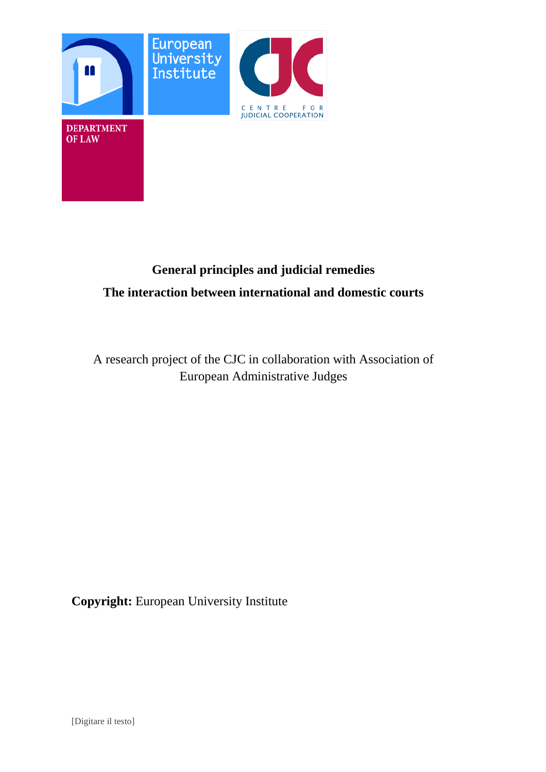

# **General principles and judicial remedies The interaction between international and domestic courts**

A research project of the CJC in collaboration with Association of European Administrative Judges

**Copyright:** European University Institute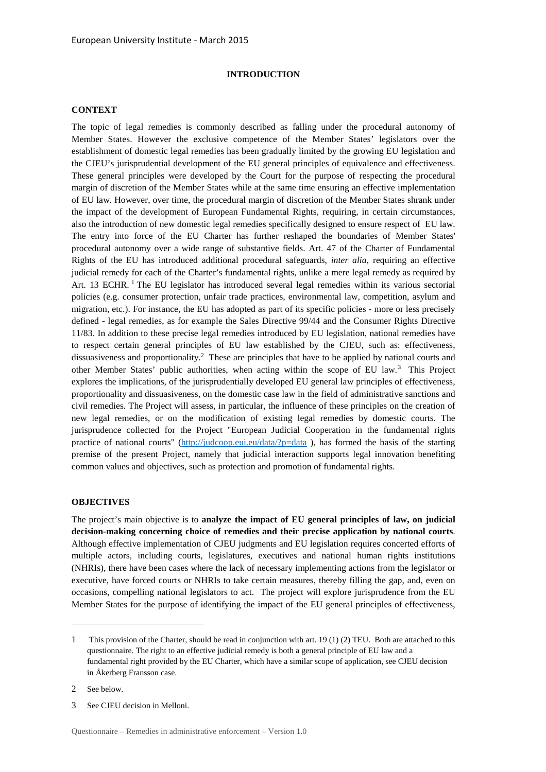## **INTRODUCTION**

#### **CONTEXT**

The topic of legal remedies is commonly described as falling under the procedural autonomy of Member States. However the exclusive competence of the Member States' legislators over the establishment of domestic legal remedies has been gradually limited by the growing EU legislation and the CJEU's jurisprudential development of the EU general principles of equivalence and effectiveness. These general principles were developed by the Court for the purpose of respecting the procedural margin of discretion of the Member States while at the same time ensuring an effective implementation of EU law. However, over time, the procedural margin of discretion of the Member States shrank under the impact of the development of European Fundamental Rights, requiring, in certain circumstances, also the introduction of new domestic legal remedies specifically designed to ensure respect of EU law. The entry into force of the EU Charter has further reshaped the boundaries of Member States' procedural autonomy over a wide range of substantive fields. Art. 47 of the Charter of Fundamental Rights of the EU has introduced additional procedural safeguards, *inter alia*, requiring an effective judicial remedy for each of the Charter's fundamental rights, unlike a mere legal remedy as required by Art. 13 ECHR.<sup>1</sup> The EU legislator has introduced several legal remedies within its various sectorial policies (e.g. consumer protection, unfair trade practices, environmental law, competition, asylum and migration, etc.). For instance, the EU has adopted as part of its specific policies - more or less precisely defined - legal remedies, as for example the Sales Directive 99/44 and the Consumer Rights Directive 11/83. In addition to these precise legal remedies introduced by EU legislation, national remedies have to respect certain general principles of EU law established by the CJEU, such as: effectiveness, dissuasiveness and proportionality.<sup>2</sup> These are principles that have to be applied by national courts and other Member States' public authorities, when acting within the scope of EU law.<sup>3</sup> This Project explores the implications, of the jurisprudentially developed EU general law principles of effectiveness, proportionality and dissuasiveness, on the domestic case law in the field of administrative sanctions and civil remedies. The Project will assess, in particular, the influence of these principles on the creation of new legal remedies, or on the modification of existing legal remedies by domestic courts. The jurisprudence collected for the Project "European Judicial Cooperation in the fundamental rights practice of national courts" (http://judcoop.eui.eu/data/?p=data ), has formed the basis of the starting premise of the present Project, namely that judicial interaction supports legal innovation benefiting common values and objectives, such as protection and promotion of fundamental rights.

#### **OBJECTIVES**

The project's main objective is to **analyze the impact of EU general principles of law, on judicial decision-making concerning choice of remedies and their precise application by national courts**. Although effective implementation of CJEU judgments and EU legislation requires concerted efforts of multiple actors, including courts, legislatures, executives and national human rights institutions (NHRIs), there have been cases where the lack of necessary implementing actions from the legislator or executive, have forced courts or NHRIs to take certain measures, thereby filling the gap, and, even on occasions, compelling national legislators to act. The project will explore jurisprudence from the EU Member States for the purpose of identifying the impact of the EU general principles of effectiveness,

2 See below.

<sup>1</sup> This provision of the Charter, should be read in conjunction with art. 19 (1) (2) TEU. Both are attached to this questionnaire. The right to an effective judicial remedy is both a general principle of EU law and a fundamental right provided by the EU Charter, which have a similar scope of application, see CJEU decision in Åkerberg Fransson case.

<sup>3</sup> See CJEU decision in Melloni.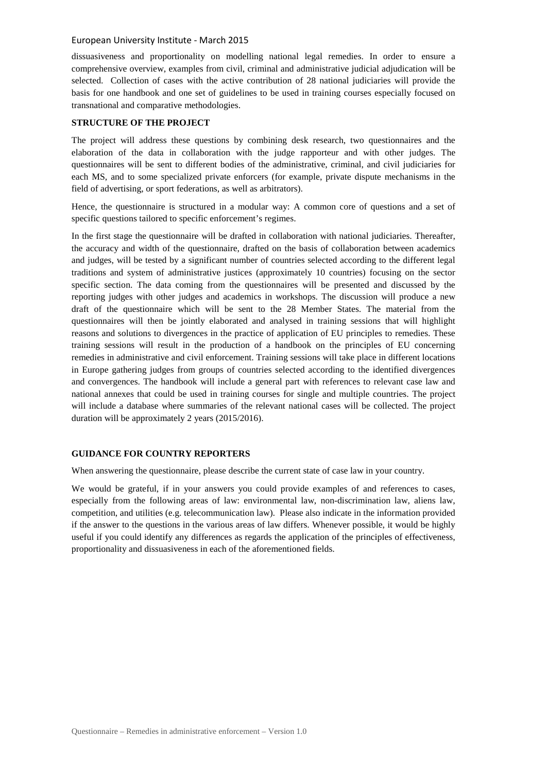dissuasiveness and proportionality on modelling national legal remedies. In order to ensure a comprehensive overview, examples from civil, criminal and administrative judicial adjudication will be selected. Collection of cases with the active contribution of 28 national judiciaries will provide the basis for one handbook and one set of guidelines to be used in training courses especially focused on transnational and comparative methodologies.

## **STRUCTURE OF THE PROJECT**

The project will address these questions by combining desk research, two questionnaires and the elaboration of the data in collaboration with the judge rapporteur and with other judges. The questionnaires will be sent to different bodies of the administrative, criminal, and civil judiciaries for each MS, and to some specialized private enforcers (for example, private dispute mechanisms in the field of advertising, or sport federations, as well as arbitrators).

Hence, the questionnaire is structured in a modular way: A common core of questions and a set of specific questions tailored to specific enforcement's regimes.

In the first stage the questionnaire will be drafted in collaboration with national judiciaries. Thereafter, the accuracy and width of the questionnaire, drafted on the basis of collaboration between academics and judges, will be tested by a significant number of countries selected according to the different legal traditions and system of administrative justices (approximately 10 countries) focusing on the sector specific section. The data coming from the questionnaires will be presented and discussed by the reporting judges with other judges and academics in workshops. The discussion will produce a new draft of the questionnaire which will be sent to the 28 Member States. The material from the questionnaires will then be jointly elaborated and analysed in training sessions that will highlight reasons and solutions to divergences in the practice of application of EU principles to remedies. These training sessions will result in the production of a handbook on the principles of EU concerning remedies in administrative and civil enforcement. Training sessions will take place in different locations in Europe gathering judges from groups of countries selected according to the identified divergences and convergences. The handbook will include a general part with references to relevant case law and national annexes that could be used in training courses for single and multiple countries. The project will include a database where summaries of the relevant national cases will be collected. The project duration will be approximately 2 years (2015/2016).

## **GUIDANCE FOR COUNTRY REPORTERS**

When answering the questionnaire, please describe the current state of case law in your country.

We would be grateful, if in your answers you could provide examples of and references to cases, especially from the following areas of law: environmental law, non-discrimination law, aliens law, competition, and utilities (e.g. telecommunication law). Please also indicate in the information provided if the answer to the questions in the various areas of law differs. Whenever possible, it would be highly useful if you could identify any differences as regards the application of the principles of effectiveness, proportionality and dissuasiveness in each of the aforementioned fields.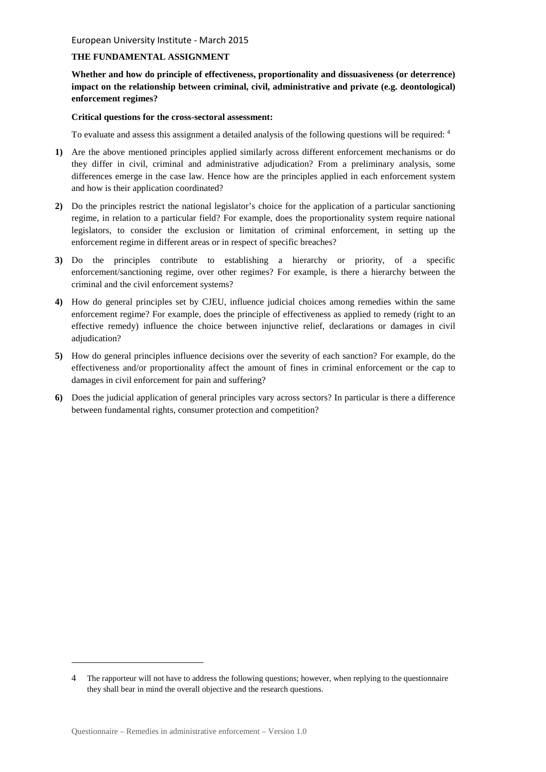## **THE FUNDAMENTAL ASSIGNMENT**

**Whether and how do principle of effectiveness, proportionality and dissuasiveness (or deterrence) impact on the relationship between criminal, civil, administrative and private (e.g. deontological) enforcement regimes?** 

## **Critical questions for the cross-sectoral assessment:**

To evaluate and assess this assignment a detailed analysis of the following questions will be required: 4

- **1)** Are the above mentioned principles applied similarly across different enforcement mechanisms or do they differ in civil, criminal and administrative adjudication? From a preliminary analysis, some differences emerge in the case law. Hence how are the principles applied in each enforcement system and how is their application coordinated?
- **2)** Do the principles restrict the national legislator's choice for the application of a particular sanctioning regime, in relation to a particular field? For example, does the proportionality system require national legislators, to consider the exclusion or limitation of criminal enforcement, in setting up the enforcement regime in different areas or in respect of specific breaches?
- **3)** Do the principles contribute to establishing a hierarchy or priority, of a specific enforcement/sanctioning regime, over other regimes? For example, is there a hierarchy between the criminal and the civil enforcement systems?
- **4)** How do general principles set by CJEU, influence judicial choices among remedies within the same enforcement regime? For example, does the principle of effectiveness as applied to remedy (right to an effective remedy) influence the choice between injunctive relief, declarations or damages in civil adjudication?
- **5)** How do general principles influence decisions over the severity of each sanction? For example, do the effectiveness and/or proportionality affect the amount of fines in criminal enforcement or the cap to damages in civil enforcement for pain and suffering?
- **6)** Does the judicial application of general principles vary across sectors? In particular is there a difference between fundamental rights, consumer protection and competition?

<sup>4</sup> The rapporteur will not have to address the following questions; however, when replying to the questionnaire they shall bear in mind the overall objective and the research questions.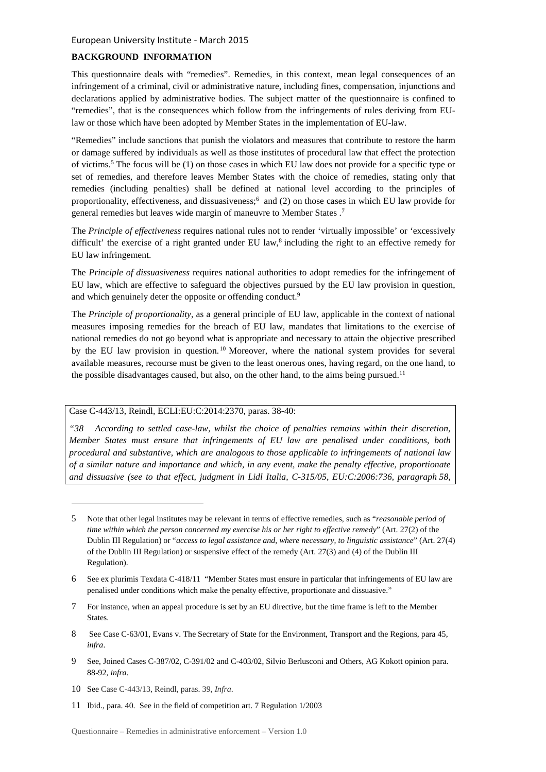## **BACKGROUND INFORMATION**

This questionnaire deals with "remedies". Remedies, in this context, mean legal consequences of an infringement of a criminal, civil or administrative nature, including fines, compensation, injunctions and declarations applied by administrative bodies. The subject matter of the questionnaire is confined to "remedies", that is the consequences which follow from the infringements of rules deriving from EUlaw or those which have been adopted by Member States in the implementation of EU-law.

"Remedies" include sanctions that punish the violators and measures that contribute to restore the harm or damage suffered by individuals as well as those institutes of procedural law that effect the protection of victims.<sup>5</sup> The focus will be (1) on those cases in which EU law does not provide for a specific type or set of remedies, and therefore leaves Member States with the choice of remedies, stating only that remedies (including penalties) shall be defined at national level according to the principles of proportionality, effectiveness, and dissuasiveness;<sup>6</sup> and (2) on those cases in which EU law provide for general remedies but leaves wide margin of maneuvre to Member States.<sup>7</sup>

The *Principle of effectiveness* requires national rules not to render 'virtually impossible' or 'excessively difficult' the exercise of a right granted under EU law,<sup>8</sup> including the right to an effective remedy for EU law infringement.

The *Principle of dissuasiveness* requires national authorities to adopt remedies for the infringement of EU law, which are effective to safeguard the objectives pursued by the EU law provision in question, and which genuinely deter the opposite or offending conduct.<sup>9</sup>

The *Principle of proportionality*, as a general principle of EU law, applicable in the context of national measures imposing remedies for the breach of EU law, mandates that limitations to the exercise of national remedies do not go beyond what is appropriate and necessary to attain the objective prescribed by the EU law provision in question.<sup>10</sup> Moreover, where the national system provides for several available measures, recourse must be given to the least onerous ones, having regard, on the one hand, to the possible disadvantages caused, but also, on the other hand, to the aims being pursued.<sup>11</sup>

## Case C-443/13, Reindl, ECLI:EU:C:2014:2370, paras. 38-40:

*"38 According to settled case-law, whilst the choice of penalties remains within their discretion, Member States must ensure that infringements of EU law are penalised under conditions, both procedural and substantive, which are analogous to those applicable to infringements of national law of a similar nature and importance and which, in any event, make the penalty effective, proportionate and dissuasive (see to that effect, judgment in Lidl Italia, C-315/05, EU:C:2006:736, paragraph 58,* 

- 9 See, Joined Cases C-387/02, C-391/02 and C-403/02, Silvio Berlusconi and Others, AG Kokott opinion para. 88-92, *infra*.
- 10 See Case C-443/13, Reindl, paras. 39, *Infra*.

 $\overline{a}$ 

11 Ibid., para. 40. See in the field of competition art. 7 Regulation 1/2003

<sup>5</sup> Note that other legal institutes may be relevant in terms of effective remedies, such as "*reasonable period of time within which the person concerned my exercise his or her right to effective remedy*" (Art. 27(2) of the Dublin III Regulation) or "*access to legal assistance and, where necessary, to linguistic assistance*" (Art. 27(4) of the Dublin III Regulation) or suspensive effect of the remedy (Art. 27(3) and (4) of the Dublin III Regulation).

<sup>6</sup> See ex plurimis Texdata C-418/11 "Member States must ensure in particular that infringements of EU law are penalised under conditions which make the penalty effective, proportionate and dissuasive."

<sup>7</sup> For instance, when an appeal procedure is set by an EU directive, but the time frame is left to the Member States.

<sup>8</sup> See Case C-63/01, Evans v. The Secretary of State for the Environment, Transport and the Regions, para 45, *infra*.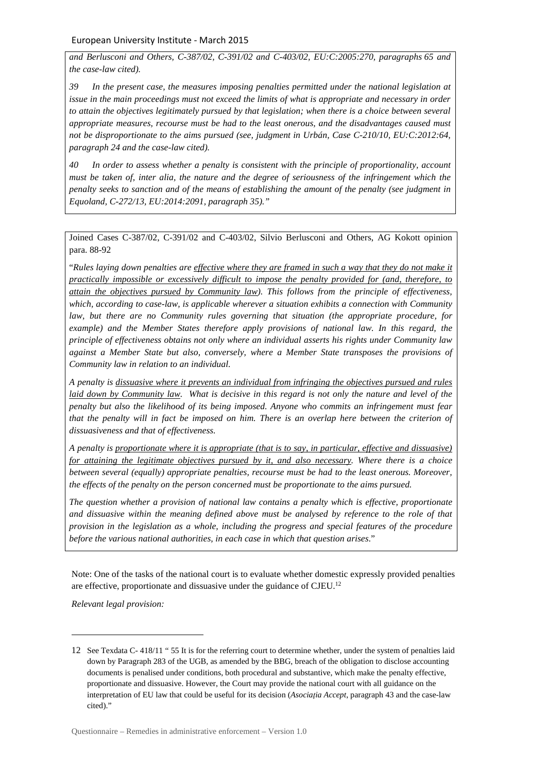*and Berlusconi and Others, C-387/02, C-391/02 and C-403/02, EU:C:2005:270, paragraphs 65 and the case-law cited).* 

*39 In the present case, the measures imposing penalties permitted under the national legislation at issue in the main proceedings must not exceed the limits of what is appropriate and necessary in order to attain the objectives legitimately pursued by that legislation; when there is a choice between several appropriate measures, recourse must be had to the least onerous, and the disadvantages caused must not be disproportionate to the aims pursued (see, judgment in Urbán, Case C-210/10, EU:C:2012:64, paragraph 24 and the case-law cited).* 

*40 In order to assess whether a penalty is consistent with the principle of proportionality, account must be taken of, inter alia, the nature and the degree of seriousness of the infringement which the penalty seeks to sanction and of the means of establishing the amount of the penalty (see judgment in Equoland, C-272/13, EU:2014:2091, paragraph 35)."* 

Joined Cases C-387/02, C-391/02 and C-403/02, Silvio Berlusconi and Others, AG Kokott opinion para. 88-92

"*Rules laying down penalties are effective where they are framed in such a way that they do not make it practically impossible or excessively difficult to impose the penalty provided for (and, therefore, to attain the objectives pursued by Community law). This follows from the principle of effectiveness, which, according to case-law, is applicable wherever a situation exhibits a connection with Community law, but there are no Community rules governing that situation (the appropriate procedure, for example) and the Member States therefore apply provisions of national law. In this regard, the principle of effectiveness obtains not only where an individual asserts his rights under Community law against a Member State but also, conversely, where a Member State transposes the provisions of Community law in relation to an individual.* 

*A penalty is dissuasive where it prevents an individual from infringing the objectives pursued and rules laid down by Community law.* What is decisive in this regard is not only the nature and level of the *penalty but also the likelihood of its being imposed. Anyone who commits an infringement must fear that the penalty will in fact be imposed on him. There is an overlap here between the criterion of dissuasiveness and that of effectiveness.* 

*A penalty is proportionate where it is appropriate (that is to say, in particular, effective and dissuasive) for attaining the legitimate objectives pursued by it, and also necessary. Where there is a choice between several (equally) appropriate penalties, recourse must be had to the least onerous. Moreover, the effects of the penalty on the person concerned must be proportionate to the aims pursued.* 

*The question whether a provision of national law contains a penalty which is effective, proportionate and dissuasive within the meaning defined above must be analysed by reference to the role of that provision in the legislation as a whole, including the progress and special features of the procedure before the various national authorities, in each case in which that question arises*."

Note: One of the tasks of the national court is to evaluate whether domestic expressly provided penalties are effective, proportionate and dissuasive under the guidance of CJEU.<sup>12</sup>

*Relevant legal provision:* 

<sup>12</sup> See Texdata C- 418/11 " 55 It is for the referring court to determine whether, under the system of penalties laid down by Paragraph 283 of the UGB, as amended by the BBG, breach of the obligation to disclose accounting documents is penalised under conditions, both procedural and substantive, which make the penalty effective, proportionate and dissuasive. However, the Court may provide the national court with all guidance on the interpretation of EU law that could be useful for its decision (*Asociaţia Accept*, paragraph 43 and the case-law cited)."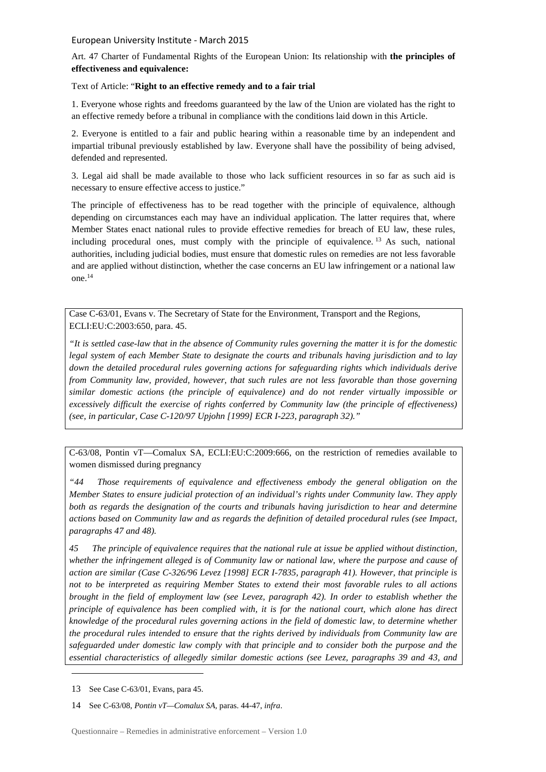Art. 47 Charter of Fundamental Rights of the European Union: Its relationship with **the principles of effectiveness and equivalence:** 

## Text of Article: "**Right to an effective remedy and to a fair trial**

1. Everyone whose rights and freedoms guaranteed by the law of the Union are violated has the right to an effective remedy before a tribunal in compliance with the conditions laid down in this Article.

2. Everyone is entitled to a fair and public hearing within a reasonable time by an independent and impartial tribunal previously established by law. Everyone shall have the possibility of being advised, defended and represented.

3. Legal aid shall be made available to those who lack sufficient resources in so far as such aid is necessary to ensure effective access to justice."

The principle of effectiveness has to be read together with the principle of equivalence, although depending on circumstances each may have an individual application. The latter requires that, where Member States enact national rules to provide effective remedies for breach of EU law, these rules, including procedural ones, must comply with the principle of equivalence. <sup>13</sup> As such, national authorities, including judicial bodies, must ensure that domestic rules on remedies are not less favorable and are applied without distinction, whether the case concerns an EU law infringement or a national law one.<sup>14</sup>

Case C-63/01, Evans v. The Secretary of State for the Environment, Transport and the Regions, ECLI:EU:C:2003:650, para. 45.

*"It is settled case-law that in the absence of Community rules governing the matter it is for the domestic legal system of each Member State to designate the courts and tribunals having jurisdiction and to lay down the detailed procedural rules governing actions for safeguarding rights which individuals derive from Community law, provided, however, that such rules are not less favorable than those governing similar domestic actions (the principle of equivalence) and do not render virtually impossible or excessively difficult the exercise of rights conferred by Community law (the principle of effectiveness) (see, in particular, Case C-120/97 Upjohn [1999] ECR I-223, paragraph 32)."*

C-63/08, Pontin vT—Comalux SA, ECLI:EU:C:2009:666, on the restriction of remedies available to women dismissed during pregnancy

*"44 Those requirements of equivalence and effectiveness embody the general obligation on the Member States to ensure judicial protection of an individual's rights under Community law. They apply both as regards the designation of the courts and tribunals having jurisdiction to hear and determine actions based on Community law and as regards the definition of detailed procedural rules (see Impact, paragraphs 47 and 48).* 

*45 The principle of equivalence requires that the national rule at issue be applied without distinction, whether the infringement alleged is of Community law or national law, where the purpose and cause of action are similar (Case C-326/96 Levez [1998] ECR I-7835, paragraph 41). However, that principle is not to be interpreted as requiring Member States to extend their most favorable rules to all actions brought in the field of employment law (see Levez, paragraph 42). In order to establish whether the principle of equivalence has been complied with, it is for the national court, which alone has direct knowledge of the procedural rules governing actions in the field of domestic law, to determine whether the procedural rules intended to ensure that the rights derived by individuals from Community law are safeguarded under domestic law comply with that principle and to consider both the purpose and the essential characteristics of allegedly similar domestic actions (see Levez, paragraphs 39 and 43, and* 

<sup>13</sup> See Case C-63/01, Evans, para 45.

<sup>14</sup> See C-63/08, *Pontin vT—Comalux SA,* paras. 44-47, *infra*.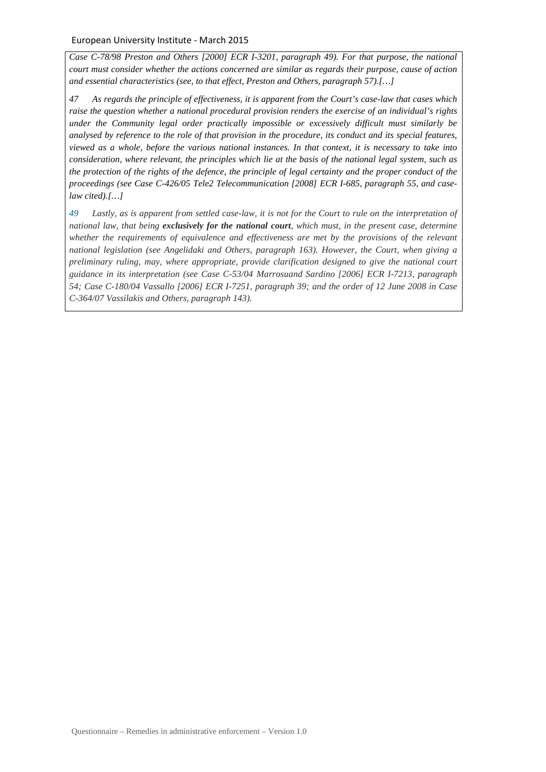*Case C-78/98 Preston and Others [2000] ECR I-3201, paragraph 49). For that purpose, the national court must consider whether the actions concerned are similar as regards their purpose, cause of action and essential characteristics (see, to that effect, Preston and Others, paragraph 57).[…]* 

*47 As regards the principle of effectiveness, it is apparent from the Court's case-law that cases which raise the question whether a national procedural provision renders the exercise of an individual's rights under the Community legal order practically impossible or excessively difficult must similarly be analysed by reference to the role of that provision in the procedure, its conduct and its special features, viewed as a whole, before the various national instances. In that context, it is necessary to take into consideration, where relevant, the principles which lie at the basis of the national legal system, such as the protection of the rights of the defence, the principle of legal certainty and the proper conduct of the proceedings (see Case C-426/05 Tele2 Telecommunication [2008] ECR I-685, paragraph 55, and caselaw cited).[…]*

*49 Lastly, as is apparent from settled case-law, it is not for the Court to rule on the interpretation of national law, that being exclusively for the national court, which must, in the present case, determine whether the requirements of equivalence and effectiveness are met by the provisions of the relevant national legislation (see Angelidaki and Others, paragraph 163). However, the Court, when giving a preliminary ruling, may, where appropriate, provide clarification designed to give the national court guidance in its interpretation (see Case C-53/04 Marrosuand Sardino [2006] ECR I-7213, paragraph 54; Case C-180/04 Vassallo [2006] ECR I-7251, paragraph 39; and the order of 12 June 2008 in Case C-364/07 Vassilakis and Others, paragraph 143).*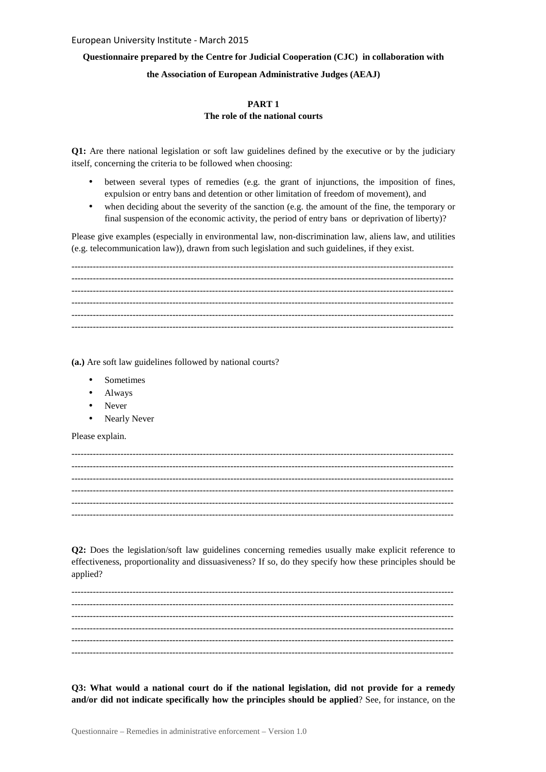## **Questionnaire prepared by the Centre for Judicial Cooperation (CJC) in collaboration with**

## **the Association of European Administrative Judges (AEAJ)**

## **PART 1 The role of the national courts**

**Q1:** Are there national legislation or soft law guidelines defined by the executive or by the judiciary itself, concerning the criteria to be followed when choosing:

- between several types of remedies (e.g. the grant of injunctions, the imposition of fines, expulsion or entry bans and detention or other limitation of freedom of movement), and
- when deciding about the severity of the sanction (e.g. the amount of the fine, the temporary or final suspension of the economic activity, the period of entry bans or deprivation of liberty)?

Please give examples (especially in environmental law, non-discrimination law, aliens law, and utilities (e.g. telecommunication law)), drawn from such legislation and such guidelines, if they exist.

----------------------------------------------------------------------------------------------------------------------------- ----------------------------------------------------------------------------------------------------------------------------- -----------------------------------------------------------------------------------------------------------------------------  $-1-\frac{1}{2}$ ----------------------------------------------------------------------------------------------------------------------------- -----------------------------------------------------------------------------------------------------------------------------

**(a.)** Are soft law guidelines followed by national courts?

- Sometimes
- Always
- Never
- Nearly Never

Please explain.

**Q2:** Does the legislation/soft law guidelines concerning remedies usually make explicit reference to effectiveness, proportionality and dissuasiveness? If so, do they specify how these principles should be applied?

----------------------------------------------------------------------------------------------------------------------------- ----------------------------------------------------------------------------------------------------------------------------- ----------------------------------------------------------------------------------------------------------------------------- ----------------------------------------------------------------------------------------------------------------------------- -----------------------------------------------------------------------------------------------------------------------------  $-1-\frac{1}{2}$ 

**Q3: What would a national court do if the national legislation, did not provide for a remedy and/or did not indicate specifically how the principles should be applied**? See, for instance, on the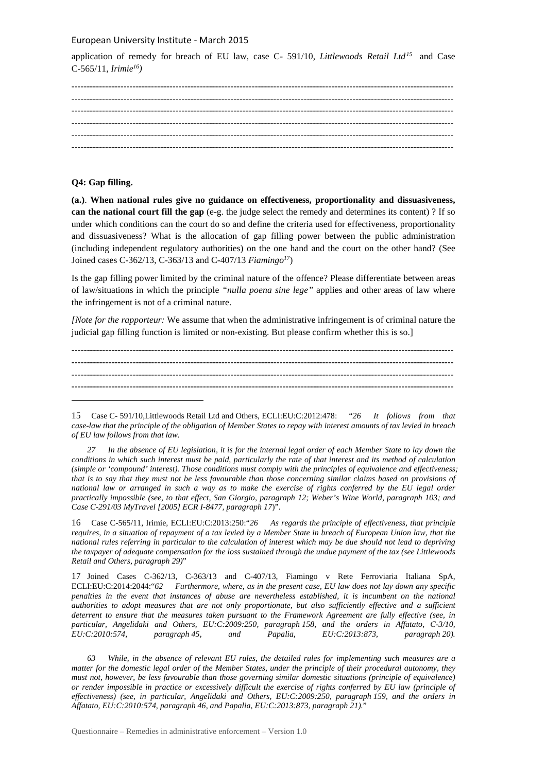application of remedy for breach of EU law, case C- 591/10, *Littlewoods Retail Ltd<sup>15</sup>* and Case C-565/11, *Irimie<sup>16</sup>)* 

## **Q4: Gap filling.**

 $\overline{a}$ 

**(a.)**. **When national rules give no guidance on effectiveness, proportionality and dissuasiveness, can the national court fill the gap** (e-g. the judge select the remedy and determines its content) ? If so under which conditions can the court do so and define the criteria used for effectiveness, proportionality and dissuasiveness? What is the allocation of gap filling power between the public administration (including independent regulatory authorities) on the one hand and the court on the other hand? (See Joined cases C-362/13, C-363/13 and C-407/13 *Fiamingo<sup>17</sup>*)

Is the gap filling power limited by the criminal nature of the offence? Please differentiate between areas of law/situations in which the principle *"nulla poena sine lege"* applies and other areas of law where the infringement is not of a criminal nature.

*[Note for the rapporteur:* We assume that when the administrative infringement is of criminal nature the judicial gap filling function is limited or non-existing. But please confirm whether this is so.]

**----------------------------------------------------------------------------------------------------------------------------- ----------------------------------------------------------------------------------------------------------------------------- ----------------------------------------------------------------------------------------------------------------------------- -----------------------------------------------------------------------------------------------------------------------------**

 *27 In the absence of EU legislation, it is for the internal legal order of each Member State to lay down the conditions in which such interest must be paid, particularly the rate of that interest and its method of calculation (simple or 'compound' interest). Those conditions must comply with the principles of equivalence and effectiveness; that is to say that they must not be less favourable than those concerning similar claims based on provisions of national law or arranged in such a way as to make the exercise of rights conferred by the EU legal order practically impossible (see, to that effect, San Giorgio, paragraph 12; Weber's Wine World, paragraph 103; and Case C-291/03 MyTravel [2005] ECR I-8477, paragraph 17*)".

16 Case C-565/11, Irimie, ECLI:EU:C:2013:250:"*26 As regards the principle of effectiveness, that principle requires, in a situation of repayment of a tax levied by a Member State in breach of European Union law, that the national rules referring in particular to the calculation of interest which may be due should not lead to depriving the taxpayer of adequate compensation for the loss sustained through the undue payment of the tax (see Littlewoods Retail and Others, paragraph 29)*"

17 Joined Cases C-362/13, C-363/13 and C-407/13, Fiamingo v Rete Ferroviaria Italiana SpA, ECLI:EU:C:2014:2044:"*62 Furthermore, where, as in the present case, EU law does not lay down any specific penalties in the event that instances of abuse are nevertheless established, it is incumbent on the national authorities to adopt measures that are not only proportionate, but also sufficiently effective and a sufficient deterrent to ensure that the measures taken pursuant to the Framework Agreement are fully effective (see, in particular, Angelidaki and Others, EU:C:2009:250, paragraph 158, and the orders in Affatato, C-3/10, EU:C:2010:574, paragraph 45, and Papalia, EU:C:2013:873, paragraph 20).*

 *63 While, in the absence of relevant EU rules, the detailed rules for implementing such measures are a matter for the domestic legal order of the Member States, under the principle of their procedural autonomy, they must not, however, be less favourable than those governing similar domestic situations (principle of equivalence) or render impossible in practice or excessively difficult the exercise of rights conferred by EU law (principle of effectiveness) (see, in particular, Angelidaki and Others, EU:C:2009:250, paragraph 159, and the orders in Affatato, EU:C:2010:574, paragraph 46, and Papalia, EU:C:2013:873, paragraph 21).*"

<sup>15</sup> Case C- 591/10,Littlewoods Retail Ltd and Others, ECLI:EU:C:2012:478: "*26 It follows from that case-law that the principle of the obligation of Member States to repay with interest amounts of tax levied in breach of EU law follows from that law.*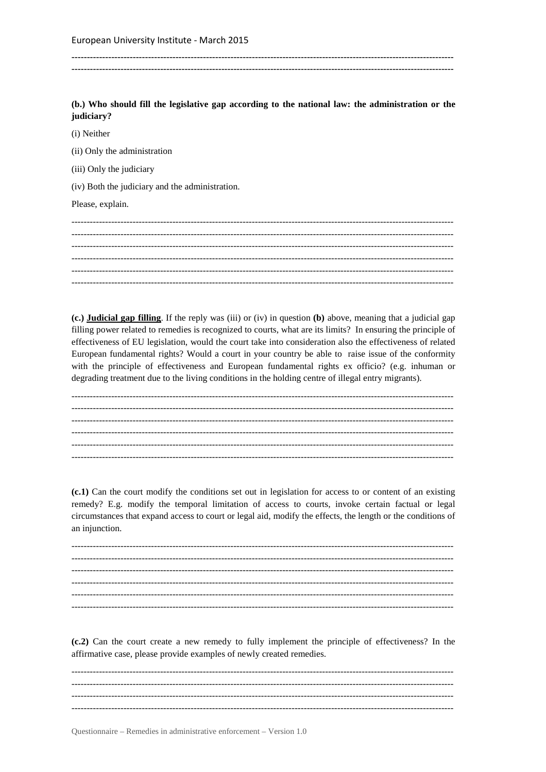(b.) Who should fill the legislative gap according to the national law: the administration or the judiciary?

(i) Neither

(ii) Only the administration

(iii) Only the judiciary

(iv) Both the judiciary and the administration.

Please, explain.

(c.) Judicial gap filling. If the reply was (iii) or (iv) in question (b) above, meaning that a judicial gap filling power related to remedies is recognized to courts, what are its limits? In ensuring the principle of effectiveness of EU legislation, would the court take into consideration also the effectiveness of related European fundamental rights? Would a court in your country be able to raise issue of the conformity with the principle of effectiveness and European fundamental rights ex officio? (e.g. inhuman or degrading treatment due to the living conditions in the holding centre of illegal entry migrants).

(c.1) Can the court modify the conditions set out in legislation for access to or content of an existing remedy? E.g. modify the temporal limitation of access to courts, invoke certain factual or legal circumstances that expand access to court or legal aid, modify the effects, the length or the conditions of an injunction.

(c.2) Can the court create a new remedy to fully implement the principle of effectiveness? In the affirmative case, please provide examples of newly created remedies.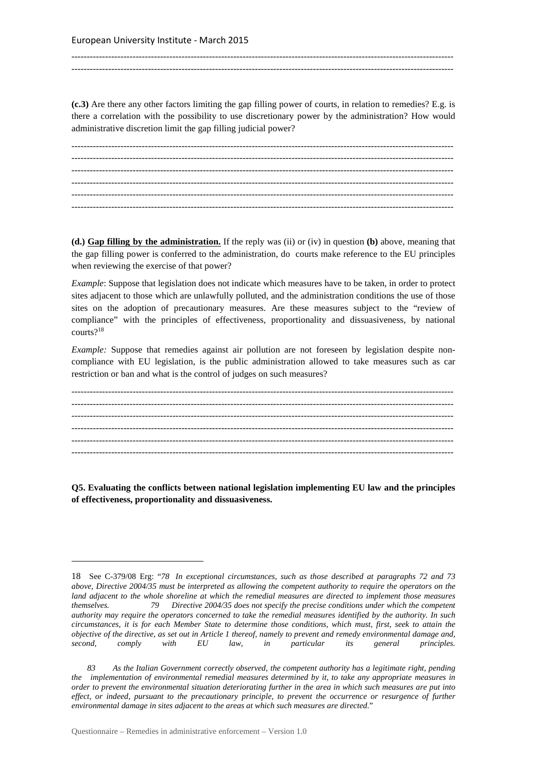**(c.3)** Are there any other factors limiting the gap filling power of courts, in relation to remedies? E.g. is there a correlation with the possibility to use discretionary power by the administration? How would administrative discretion limit the gap filling judicial power?

-----------------------------------------------------------------------------------------------------------------------------

 $-$ 

----------------------------------------------------------------------------------------------------------------------------- ----------------------------------------------------------------------------------------------------------------------------- ----------------------------------------------------------------------------------------------------------------------------- ----------------------------------------------------------------------------------------------------------------------------- ----------------------------------------------------------------------------------------------------------------------------- -----------------------------------------------------------------------------------------------------------------------------

**(d.) Gap filling by the administration.** If the reply was (ii) or (iv) in question **(b)** above, meaning that the gap filling power is conferred to the administration, do courts make reference to the EU principles when reviewing the exercise of that power?

*Example*: Suppose that legislation does not indicate which measures have to be taken, in order to protect sites adjacent to those which are unlawfully polluted, and the administration conditions the use of those sites on the adoption of precautionary measures. Are these measures subject to the "review of compliance" with the principles of effectiveness, proportionality and dissuasiveness, by national courts?<sup>18</sup>

*Example:* Suppose that remedies against air pollution are not foreseen by legislation despite noncompliance with EU legislation, is the public administration allowed to take measures such as car restriction or ban and what is the control of judges on such measures?

----------------------------------------------------------------------------------------------------------------------------- ----------------------------------------------------------------------------------------------------------------------------- ----------------------------------------------------------------------------------------------------------------------------- ----------------------------------------------------------------------------------------------------------------------------- ----------------------------------------------------------------------------------------------------------------------------- -----------------------------------------------------------------------------------------------------------------------------

**Q5. Evaluating the conflicts between national legislation implementing EU law and the principles of effectiveness, proportionality and dissuasiveness.**

<sup>18</sup> See C-379/08 Erg: "*78 In exceptional circumstances, such as those described at paragraphs 72 and 73 above, Directive 2004/35 must be interpreted as allowing the competent authority to require the operators on the land adjacent to the whole shoreline at which the remedial measures are directed to implement those measures themselves. 79 Directive 2004/35 does not specify the precise conditions under which the competent authority may require the operators concerned to take the remedial measures identified by the authority. In such circumstances, it is for each Member State to determine those conditions, which must, first, seek to attain the objective of the directive, as set out in Article 1 thereof, namely to prevent and remedy environmental damage and, second, comply with EU law, in particular its general principles.* 

 *<sup>83</sup> As the Italian Government correctly observed, the competent authority has a legitimate right, pending the implementation of environmental remedial measures determined by it, to take any appropriate measures in order to prevent the environmental situation deteriorating further in the area in which such measures are put into effect, or indeed, pursuant to the precautionary principle, to prevent the occurrence or resurgence of further environmental damage in sites adjacent to the areas at which such measures are directed*."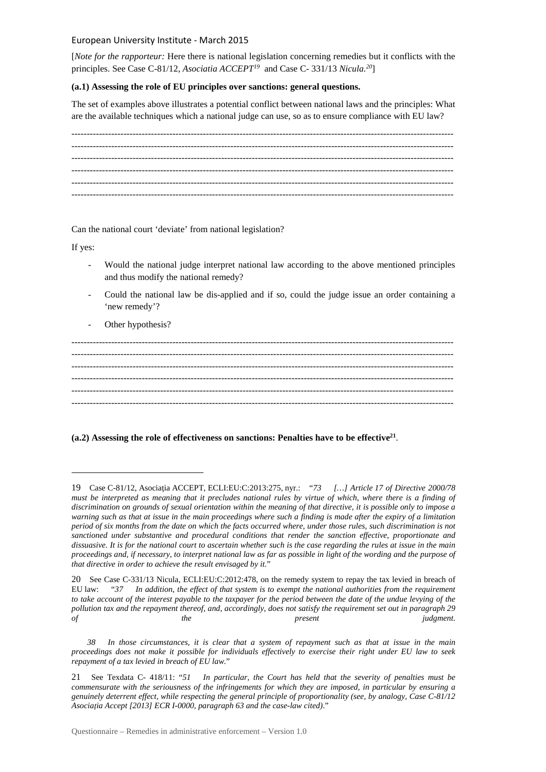[*Note for the rapporteur:* Here there is national legislation concerning remedies but it conflicts with the principles. See Case C-81/12, *Asociatia ACCEPT<sup>19</sup>* and Case C- 331/13 *Nicula.<sup>20</sup>*]

## **(a.1) Assessing the role of EU principles over sanctions: general questions.**

The set of examples above illustrates a potential conflict between national laws and the principles: What are the available techniques which a national judge can use, so as to ensure compliance with EU law?

Can the national court 'deviate' from national legislation?

If yes:

 $\overline{a}$ 

- Would the national judge interpret national law according to the above mentioned principles and thus modify the national remedy?
- Could the national law be dis-applied and if so, could the judge issue an order containing a 'new remedy'?
- Other hypothesis?

----------------------------------------------------------------------------------------------------------------------------- ----------------------------------------------------------------------------------------------------------------------------- ----------------------------------------------------------------------------------------------------------------------------- -----------------------------------------------------------------------------------------------------------------------------  $-1.1$  $-1-\frac{1}{2}$ 

## **(a.2) Assessing the role of effectiveness on sanctions: Penalties have to be effective<sup>21</sup>** .

<sup>19</sup> Case C-81/12, Asociaţia ACCEPT, ECLI:EU:C:2013:275, nyr.: "*73 […] Article 17 of Directive 2000/78 must be interpreted as meaning that it precludes national rules by virtue of which, where there is a finding of discrimination on grounds of sexual orientation within the meaning of that directive, it is possible only to impose a warning such as that at issue in the main proceedings where such a finding is made after the expiry of a limitation period of six months from the date on which the facts occurred where, under those rules, such discrimination is not sanctioned under substantive and procedural conditions that render the sanction effective, proportionate and dissuasive. It is for the national court to ascertain whether such is the case regarding the rules at issue in the main proceedings and, if necessary, to interpret national law as far as possible in light of the wording and the purpose of that directive in order to achieve the result envisaged by it.*"

<sup>20</sup> See Case C-331/13 Nicula, ECLI:EU:C:2012:478, on the remedy system to repay the tax levied in breach of EU law: "*37 In addition, the effect of that system is to exempt the national authorities from the requirement to take account of the interest payable to the taxpayer for the period between the date of the undue levying of the pollution tax and the repayment thereof, and, accordingly, does not satisfy the requirement set out in paragraph 29 of the present judgment.*

In those circumstances, it is clear that a system of repayment such as that at issue in the main *proceedings does not make it possible for individuals effectively to exercise their right under EU law to seek repayment of a tax levied in breach of EU law.*"

<sup>21</sup> See Texdata C- 418/11: "*51 In particular, the Court has held that the severity of penalties must be commensurate with the seriousness of the infringements for which they are imposed, in particular by ensuring a genuinely deterrent effect, while respecting the general principle of proportionality (see, by analogy, Case C-81/12 Asociaţia Accept [2013] ECR I-0000, paragraph 63 and the case-law cited)*."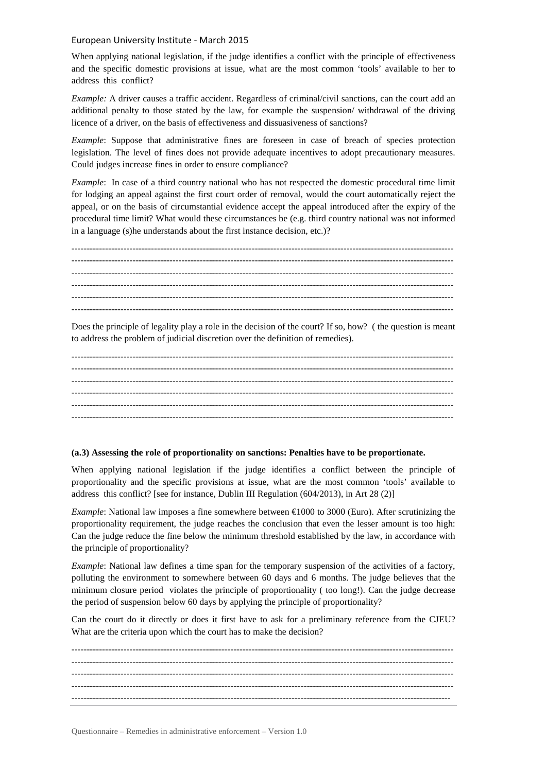When applying national legislation, if the judge identifies a conflict with the principle of effectiveness and the specific domestic provisions at issue, what are the most common 'tools' available to her to address this conflict?

*Example:* A driver causes a traffic accident. Regardless of criminal/civil sanctions, can the court add an additional penalty to those stated by the law, for example the suspension/ withdrawal of the driving licence of a driver, on the basis of effectiveness and dissuasiveness of sanctions?

*Example*: Suppose that administrative fines are foreseen in case of breach of species protection legislation. The level of fines does not provide adequate incentives to adopt precautionary measures. Could judges increase fines in order to ensure compliance?

*Example*: In case of a third country national who has not respected the domestic procedural time limit for lodging an appeal against the first court order of removal, would the court automatically reject the appeal, or on the basis of circumstantial evidence accept the appeal introduced after the expiry of the procedural time limit? What would these circumstances be (e.g. third country national was not informed in a language (s)he understands about the first instance decision, etc.)?

----------------------------------------------------------------------------------------------------------------------------- ----------------------------------------------------------------------------------------------------------------------------- ----------------------------------------------------------------------------------------------------------------------------- ----------------------------------------------------------------------------------------------------------------------------- ----------------------------------------------------------------------------------------------------------------------------- -----------------------------------------------------------------------------------------------------------------------------

Does the principle of legality play a role in the decision of the court? If so, how? ( the question is meant to address the problem of judicial discretion over the definition of remedies).

----------------------------------------------------------------------------------------------------------------------------- ----------------------------------------------------------------------------------------------------------------------------- ----------------------------------------------------------------------------------------------------------------------------- ----------------------------------------------------------------------------------------------------------------------------- ----------------------------------------------------------------------------------------------------------------------------- -----------------------------------------------------------------------------------------------------------------------------

## **(a.3) Assessing the role of proportionality on sanctions: Penalties have to be proportionate.**

When applying national legislation if the judge identifies a conflict between the principle of proportionality and the specific provisions at issue, what are the most common 'tools' available to address this conflict? [see for instance, Dublin III Regulation (604/2013), in Art 28 (2)]

*Example*: National law imposes a fine somewhere between  $\epsilon$ 1000 to 3000 (Euro). After scrutinizing the proportionality requirement, the judge reaches the conclusion that even the lesser amount is too high: Can the judge reduce the fine below the minimum threshold established by the law, in accordance with the principle of proportionality?

*Example*: National law defines a time span for the temporary suspension of the activities of a factory, polluting the environment to somewhere between 60 days and 6 months. The judge believes that the minimum closure period violates the principle of proportionality ( too long!). Can the judge decrease the period of suspension below 60 days by applying the principle of proportionality?

Can the court do it directly or does it first have to ask for a preliminary reference from the CJEU? What are the criteria upon which the court has to make the decision?

----------------------------------------------------------------------------------------------------------------------------- ----------------------------------------------------------------------------------------------------------------------------- ----------------------------------------------------------------------------------------------------------------------------- ----------------------------------------------------------------------------------------------------------------------------- ----------------------------------------------------------------------------------------------------------------------------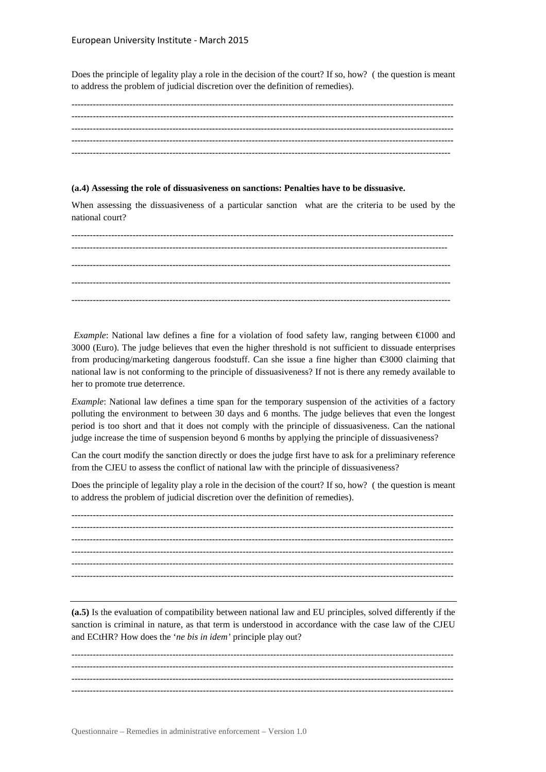Does the principle of legality play a role in the decision of the court? If so, how? ( the question is meant to address the problem of judicial discretion over the definition of remedies).

----------------------------------------------------------------------------------------------------------------------------- ----------------------------------------------------------------------------------------------------------------------------- ----------------------------------------------------------------------------------------------------------------------------- ----------------------------------------------------------------------------------------------------------------------------- ----------------------------------------------------------------------------------------------------------------------------

## **(a.4) Assessing the role of dissuasiveness on sanctions: Penalties have to be dissuasive.**

When assessing the dissuasiveness of a particular sanction what are the criteria to be used by the national court?

----------------------------------------------------------------------------------------------------------------------------- --------------------------------------------------------------------------------------------------------------------------- ---------------------------------------------------------------------------------------------------------------------------- ----------------------------------------------------------------------------------------------------------------------------

*Example*: National law defines a fine for a violation of food safety law, ranging between €1000 and 3000 (Euro). The judge believes that even the higher threshold is not sufficient to dissuade enterprises from producing/marketing dangerous foodstuff. Can she issue a fine higher than €3000 claiming that national law is not conforming to the principle of dissuasiveness? If not is there any remedy available to her to promote true deterrence.

*Example*: National law defines a time span for the temporary suspension of the activities of a factory polluting the environment to between 30 days and 6 months. The judge believes that even the longest period is too short and that it does not comply with the principle of dissuasiveness. Can the national judge increase the time of suspension beyond 6 months by applying the principle of dissuasiveness?

Can the court modify the sanction directly or does the judge first have to ask for a preliminary reference from the CJEU to assess the conflict of national law with the principle of dissuasiveness?

Does the principle of legality play a role in the decision of the court? If so, how? ( the question is meant to address the problem of judicial discretion over the definition of remedies).

----------------------------------------------------------------------------------------------------------------------------- -----------------------------------------------------------------------------------------------------------------------------  $-1.1$ ----------------------------------------------------------------------------------------------------------------------------- ----------------------------------------------------------------------------------------------------------------------------- -----------------------------------------------------------------------------------------------------------------------------

**(a.5)** Is the evaluation of compatibility between national law and EU principles, solved differently if the sanction is criminal in nature, as that term is understood in accordance with the case law of the CJEU and ECtHR? How does the '*ne bis in idem'* principle play out?

----------------------------------------------------------------------------------------------------------------------------- ----------------------------------------------------------------------------------------------------------------------------- ----------------------------------------------------------------------------------------------------------------------------- -----------------------------------------------------------------------------------------------------------------------------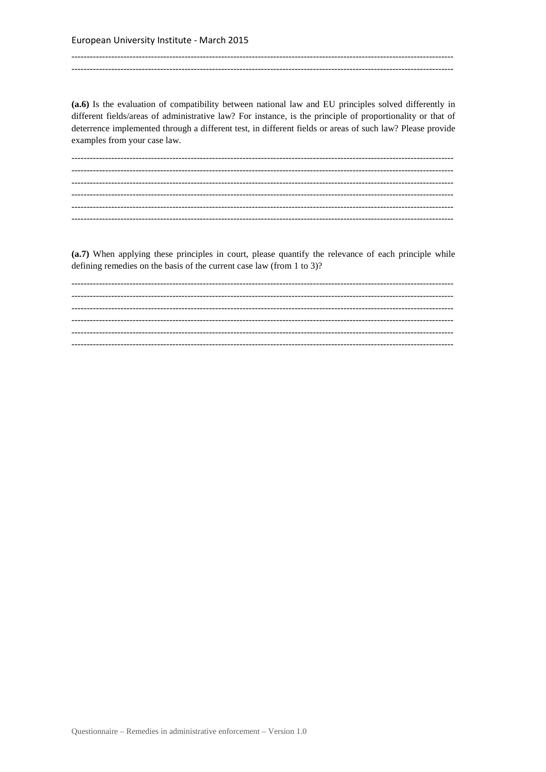(a.6) Is the evaluation of compatibility between national law and EU principles solved differently in different fields/areas of administrative law? For instance, is the principle of proportionality or that of deterrence implemented through a different test, in different fields or areas of such law? Please provide examples from your case law.

(a.7) When applying these principles in court, please quantify the relevance of each principle while defining remedies on the basis of the current case law (from  $1 \text{ to } 3$ )?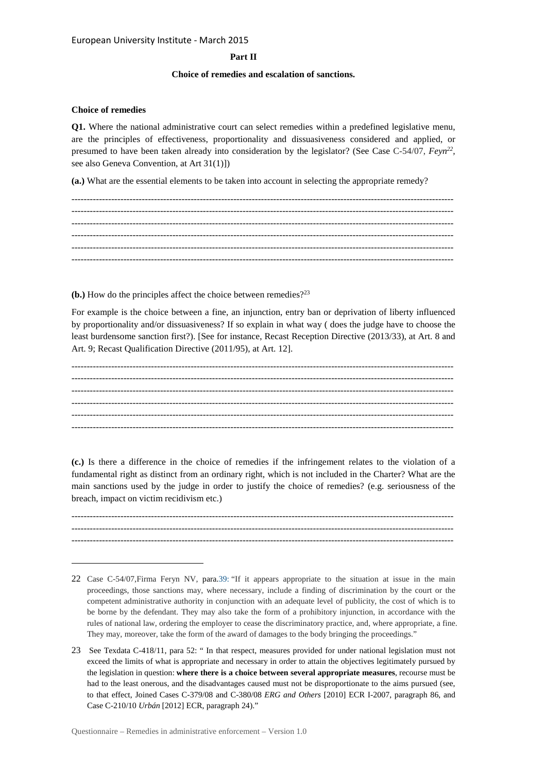## **Part II**

## **Choice of remedies and escalation of sanctions.**

#### **Choice of remedies**

 $\overline{a}$ 

**Q1.** Where the national administrative court can select remedies within a predefined legislative menu, are the principles of effectiveness, proportionality and dissuasiveness considered and applied, or presumed to have been taken already into consideration by the legislator? (See Case C-54/07,  $Feyn^{22}$ , see also Geneva Convention, at Art 31(1)])

**(a.)** What are the essential elements to be taken into account in selecting the appropriate remedy?

**(b.)** How do the principles affect the choice between remedies?<sup>23</sup>

For example is the choice between a fine, an injunction, entry ban or deprivation of liberty influenced by proportionality and/or dissuasiveness? If so explain in what way ( does the judge have to choose the least burdensome sanction first?). [See for instance, Recast Reception Directive (2013/33), at Art. 8 and Art. 9; Recast Qualification Directive (2011/95), at Art. 12].

----------------------------------------------------------------------------------------------------------------------------- -----------------------------------------------------------------------------------------------------------------------------  $-1.1$ ----------------------------------------------------------------------------------------------------------------------------- -----------------------------------------------------------------------------------------------------------------------------  $-1.1$ 

**(c.)** Is there a difference in the choice of remedies if the infringement relates to the violation of a fundamental right as distinct from an ordinary right, which is not included in the Charter? What are the main sanctions used by the judge in order to justify the choice of remedies? (e.g. seriousness of the breach, impact on victim recidivism etc.)

----------------------------------------------------------------------------------------------------------------------------- ----------------------------------------------------------------------------------------------------------------------------- -----------------------------------------------------------------------------------------------------------------------------

<sup>22</sup> Case C-54/07,Firma Feryn NV, para.39: "If it appears appropriate to the situation at issue in the main proceedings, those sanctions may, where necessary, include a finding of discrimination by the court or the competent administrative authority in conjunction with an adequate level of publicity, the cost of which is to be borne by the defendant. They may also take the form of a prohibitory injunction, in accordance with the rules of national law, ordering the employer to cease the discriminatory practice, and, where appropriate, a fine. They may, moreover, take the form of the award of damages to the body bringing the proceedings."

<sup>23</sup> See Texdata C-418/11, para 52: " In that respect, measures provided for under national legislation must not exceed the limits of what is appropriate and necessary in order to attain the objectives legitimately pursued by the legislation in question: **where there is a choice between several appropriate measures**, recourse must be had to the least onerous, and the disadvantages caused must not be disproportionate to the aims pursued (see, to that effect, Joined Cases C-379/08 and C-380/08 *ERG and Others* [2010] ECR I-2007, paragraph 86, and Case C-210/10 *Urbán* [2012] ECR, paragraph 24)."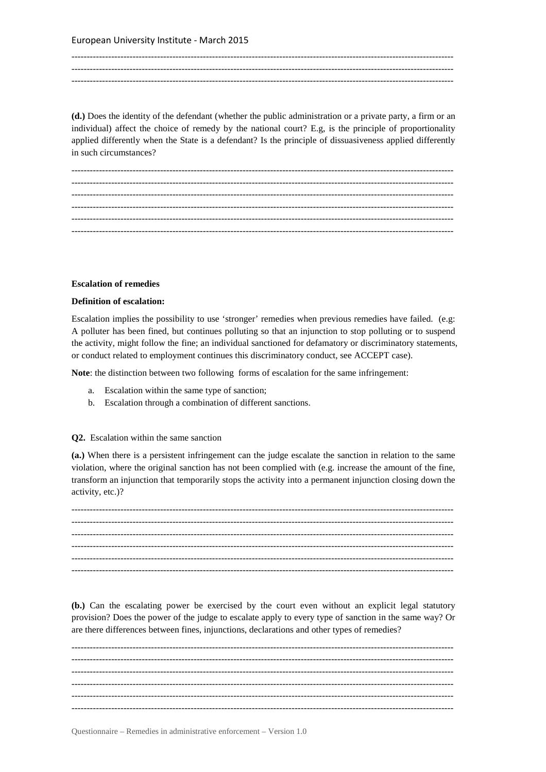----------------------------------------------------------------------------------------------------------------------------- ----------------------------------------------------------------------------------------------------------------------------- -----------------------------------------------------------------------------------------------------------------------------

**(d.)** Does the identity of the defendant (whether the public administration or a private party, a firm or an individual) affect the choice of remedy by the national court? E.g, is the principle of proportionality applied differently when the State is a defendant? Is the principle of dissuasiveness applied differently in such circumstances?

----------------------------------------------------------------------------------------------------------------------------- ----------------------------------------------------------------------------------------------------------------------------- ----------------------------------------------------------------------------------------------------------------------------- ----------------------------------------------------------------------------------------------------------------------------- ----------------------------------------------------------------------------------------------------------------------------- -----------------------------------------------------------------------------------------------------------------------------

#### **Escalation of remedies**

## **Definition of escalation:**

Escalation implies the possibility to use 'stronger' remedies when previous remedies have failed. (e.g: A polluter has been fined, but continues polluting so that an injunction to stop polluting or to suspend the activity, might follow the fine; an individual sanctioned for defamatory or discriminatory statements, or conduct related to employment continues this discriminatory conduct, see ACCEPT case).

**Note**: the distinction between two following forms of escalation for the same infringement:

- a. Escalation within the same type of sanction;
- b. Escalation through a combination of different sanctions.

## **Q2.** Escalation within the same sanction

**(a.)** When there is a persistent infringement can the judge escalate the sanction in relation to the same violation, where the original sanction has not been complied with (e.g. increase the amount of the fine, transform an injunction that temporarily stops the activity into a permanent injunction closing down the activity, etc.)?

----------------------------------------------------------------------------------------------------------------------------- ----------------------------------------------------------------------------------------------------------------------------- ----------------------------------------------------------------------------------------------------------------------------- ----------------------------------------------------------------------------------------------------------------------------- ----------------------------------------------------------------------------------------------------------------------------- -----------------------------------------------------------------------------------------------------------------------------

**(b.)** Can the escalating power be exercised by the court even without an explicit legal statutory provision? Does the power of the judge to escalate apply to every type of sanction in the same way? Or are there differences between fines, injunctions, declarations and other types of remedies?

----------------------------------------------------------------------------------------------------------------------------- ----------------------------------------------------------------------------------------------------------------------------- -----------------------------------------------------------------------------------------------------------------------------  $-1-\frac{1}{2}$ ----------------------------------------------------------------------------------------------------------------------------- -----------------------------------------------------------------------------------------------------------------------------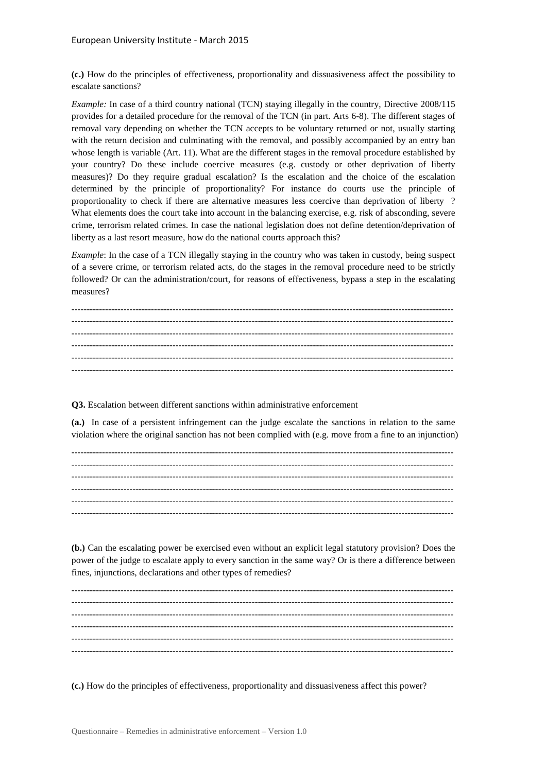**(c.)** How do the principles of effectiveness, proportionality and dissuasiveness affect the possibility to escalate sanctions?

*Example:* In case of a third country national (TCN) staying illegally in the country, Directive 2008/115 provides for a detailed procedure for the removal of the TCN (in part. Arts 6-8). The different stages of removal vary depending on whether the TCN accepts to be voluntary returned or not, usually starting with the return decision and culminating with the removal, and possibly accompanied by an entry ban whose length is variable (Art. 11). What are the different stages in the removal procedure established by your country? Do these include coercive measures (e.g. custody or other deprivation of liberty measures)? Do they require gradual escalation? Is the escalation and the choice of the escalation determined by the principle of proportionality? For instance do courts use the principle of proportionality to check if there are alternative measures less coercive than deprivation of liberty ? What elements does the court take into account in the balancing exercise, e.g. risk of absconding, severe crime, terrorism related crimes. In case the national legislation does not define detention/deprivation of liberty as a last resort measure, how do the national courts approach this?

*Example*: In the case of a TCN illegally staying in the country who was taken in custody, being suspect of a severe crime, or terrorism related acts, do the stages in the removal procedure need to be strictly followed? Or can the administration/court, for reasons of effectiveness, bypass a step in the escalating measures?

----------------------------------------------------------------------------------------------------------------------------- ----------------------------------------------------------------------------------------------------------------------------- ----------------------------------------------------------------------------------------------------------------------------- ----------------------------------------------------------------------------------------------------------------------------- ----------------------------------------------------------------------------------------------------------------------------- -----------------------------------------------------------------------------------------------------------------------------

**Q3.** Escalation between different sanctions within administrative enforcement

**(a.)** In case of a persistent infringement can the judge escalate the sanctions in relation to the same violation where the original sanction has not been complied with (e.g. move from a fine to an injunction)

**(b.)** Can the escalating power be exercised even without an explicit legal statutory provision? Does the power of the judge to escalate apply to every sanction in the same way? Or is there a difference between fines, injunctions, declarations and other types of remedies?

----------------------------------------------------------------------------------------------------------------------------- ----------------------------------------------------------------------------------------------------------------------------- ----------------------------------------------------------------------------------------------------------------------------- ----------------------------------------------------------------------------------------------------------------------------- ----------------------------------------------------------------------------------------------------------------------------- -----------------------------------------------------------------------------------------------------------------------------

**(c.)** How do the principles of effectiveness, proportionality and dissuasiveness affect this power?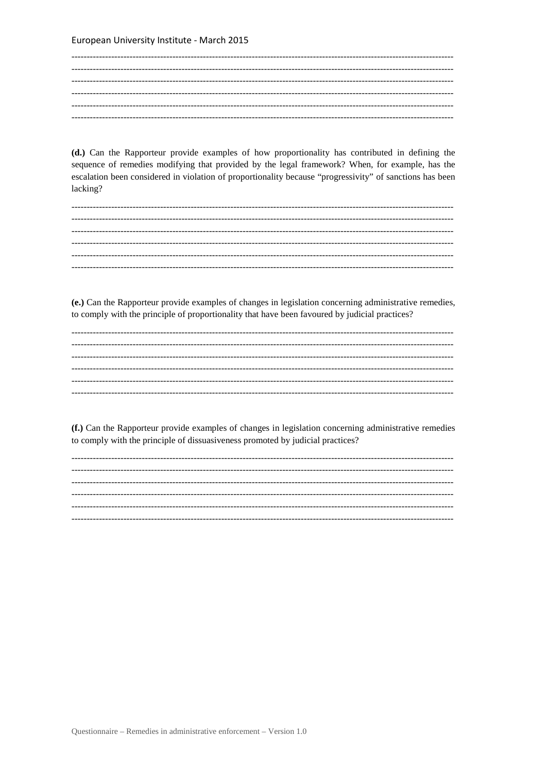(d.) Can the Rapporteur provide examples of how proportionality has contributed in defining the sequence of remedies modifying that provided by the legal framework? When, for example, has the escalation been considered in violation of proportionality because "progressivity" of sanctions has been lacking?

(e.) Can the Rapporteur provide examples of changes in legislation concerning administrative remedies, to comply with the principle of proportionality that have been favoured by judicial practices?

(f.) Can the Rapporteur provide examples of changes in legislation concerning administrative remedies to comply with the principle of dissuasiveness promoted by judicial practices?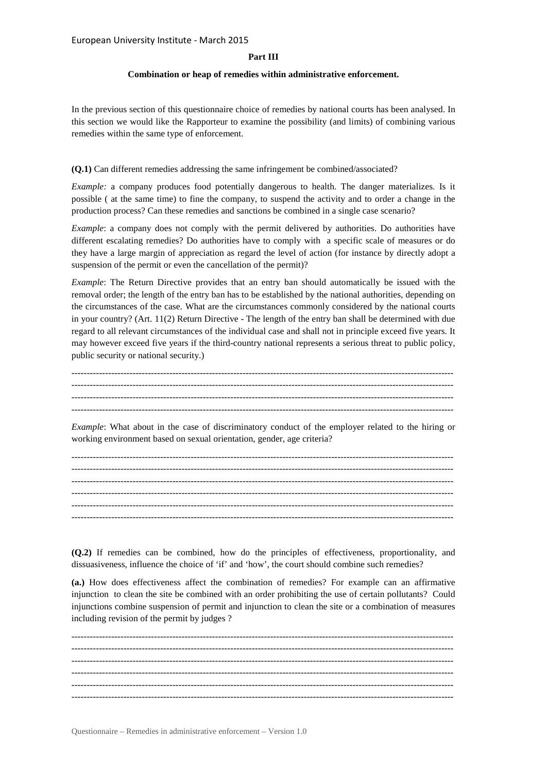## **Part III**

## **Combination or heap of remedies within administrative enforcement.**

In the previous section of this questionnaire choice of remedies by national courts has been analysed. In this section we would like the Rapporteur to examine the possibility (and limits) of combining various remedies within the same type of enforcement.

#### **(Q.1)** Can different remedies addressing the same infringement be combined/associated?

*Example:* a company produces food potentially dangerous to health. The danger materializes. Is it possible ( at the same time) to fine the company, to suspend the activity and to order a change in the production process? Can these remedies and sanctions be combined in a single case scenario?

*Example*: a company does not comply with the permit delivered by authorities. Do authorities have different escalating remedies? Do authorities have to comply with a specific scale of measures or do they have a large margin of appreciation as regard the level of action (for instance by directly adopt a suspension of the permit or even the cancellation of the permit)?

*Example*: The Return Directive provides that an entry ban should automatically be issued with the removal order; the length of the entry ban has to be established by the national authorities, depending on the circumstances of the case. What are the circumstances commonly considered by the national courts in your country? (Art. 11(2) Return Directive - The length of the entry ban shall be determined with due regard to all relevant circumstances of the individual case and shall not in principle exceed five years. It may however exceed five years if the third-country national represents a serious threat to public policy, public security or national security.)

----------------------------------------------------------------------------------------------------------------------------- ----------------------------------------------------------------------------------------------------------------------------- ----------------------------------------------------------------------------------------------------------------------------- -----------------------------------------------------------------------------------------------------------------------------

*Example*: What about in the case of discriminatory conduct of the employer related to the hiring or working environment based on sexual orientation, gender, age criteria?

----------------------------------------------------------------------------------------------------------------------------- ----------------------------------------------------------------------------------------------------------------------------- ----------------------------------------------------------------------------------------------------------------------------- ----------------------------------------------------------------------------------------------------------------------------- ----------------------------------------------------------------------------------------------------------------------------- -----------------------------------------------------------------------------------------------------------------------------

**(Q.2)** If remedies can be combined, how do the principles of effectiveness, proportionality, and dissuasiveness, influence the choice of 'if' and 'how', the court should combine such remedies?

**(a.)** How does effectiveness affect the combination of remedies? For example can an affirmative injunction to clean the site be combined with an order prohibiting the use of certain pollutants? Could injunctions combine suspension of permit and injunction to clean the site or a combination of measures including revision of the permit by judges ?

----------------------------------------------------------------------------------------------------------------------------- -----------------------------------------------------------------------------------------------------------------------------  $-1-\frac{1}{2}$  $-1-\frac{1}{2}$ ----------------------------------------------------------------------------------------------------------------------------- -----------------------------------------------------------------------------------------------------------------------------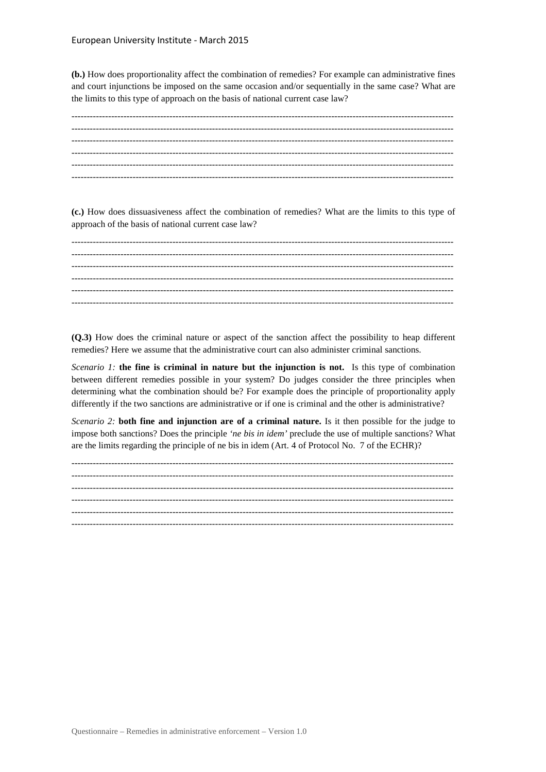**(b.)** How does proportionality affect the combination of remedies? For example can administrative fines and court injunctions be imposed on the same occasion and/or sequentially in the same case? What are the limits to this type of approach on the basis of national current case law?

**(c.)** How does dissuasiveness affect the combination of remedies? What are the limits to this type of approach of the basis of national current case law?

----------------------------------------------------------------------------------------------------------------------------- ----------------------------------------------------------------------------------------------------------------------------- ----------------------------------------------------------------------------------------------------------------------------- ----------------------------------------------------------------------------------------------------------------------------- -----------------------------------------------------------------------------------------------------------------------------  $-1.1$ 

**(Q.3)** How does the criminal nature or aspect of the sanction affect the possibility to heap different remedies? Here we assume that the administrative court can also administer criminal sanctions.

*Scenario 1:* **the fine is criminal in nature but the injunction is not.** Is this type of combination between different remedies possible in your system? Do judges consider the three principles when determining what the combination should be? For example does the principle of proportionality apply differently if the two sanctions are administrative or if one is criminal and the other is administrative?

*Scenario 2:* **both fine and injunction are of a criminal nature.** Is it then possible for the judge to impose both sanctions? Does the principle *'ne bis in idem'* preclude the use of multiple sanctions? What are the limits regarding the principle of ne bis in idem (Art. 4 of Protocol No. 7 of the ECHR)?

----------------------------------------------------------------------------------------------------------------------------- ----------------------------------------------------------------------------------------------------------------------------- ----------------------------------------------------------------------------------------------------------------------------- ----------------------------------------------------------------------------------------------------------------------------- -----------------------------------------------------------------------------------------------------------------------------  $-1.1$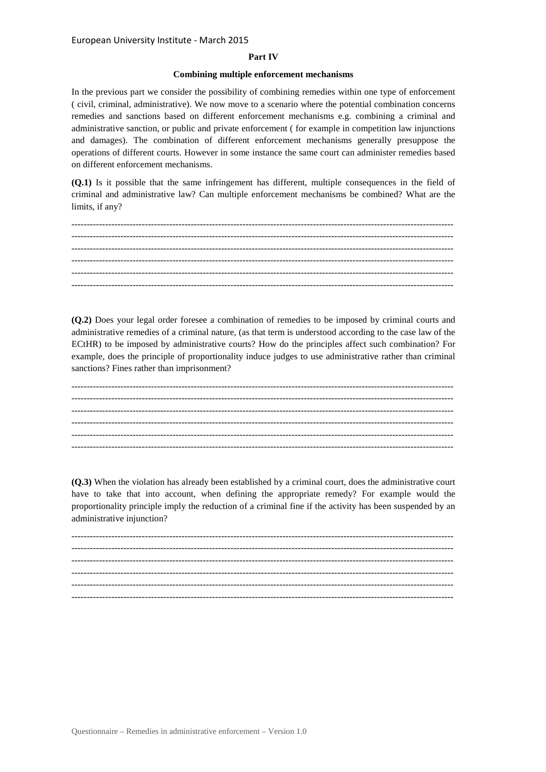## **Part IV**

## **Combining multiple enforcement mechanisms**

In the previous part we consider the possibility of combining remedies within one type of enforcement ( civil, criminal, administrative). We now move to a scenario where the potential combination concerns remedies and sanctions based on different enforcement mechanisms e.g. combining a criminal and administrative sanction, or public and private enforcement ( for example in competition law injunctions and damages). The combination of different enforcement mechanisms generally presuppose the operations of different courts. However in some instance the same court can administer remedies based on different enforcement mechanisms.

**(Q.1)** Is it possible that the same infringement has different, multiple consequences in the field of criminal and administrative law? Can multiple enforcement mechanisms be combined? What are the limits, if any?

**(Q.2)** Does your legal order foresee a combination of remedies to be imposed by criminal courts and administrative remedies of a criminal nature, (as that term is understood according to the case law of the ECtHR) to be imposed by administrative courts? How do the principles affect such combination? For example, does the principle of proportionality induce judges to use administrative rather than criminal sanctions? Fines rather than imprisonment?

----------------------------------------------------------------------------------------------------------------------------- ----------------------------------------------------------------------------------------------------------------------------- ----------------------------------------------------------------------------------------------------------------------------- ----------------------------------------------------------------------------------------------------------------------------- -----------------------------------------------------------------------------------------------------------------------------  $-1.1$ 

**(Q.3)** When the violation has already been established by a criminal court, does the administrative court have to take that into account, when defining the appropriate remedy? For example would the proportionality principle imply the reduction of a criminal fine if the activity has been suspended by an administrative injunction?